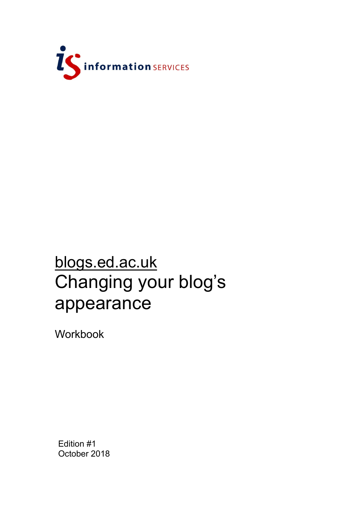

## blogs.ed.ac.uk Changing your blog's appearance

Workbook

Edition #1 October 2018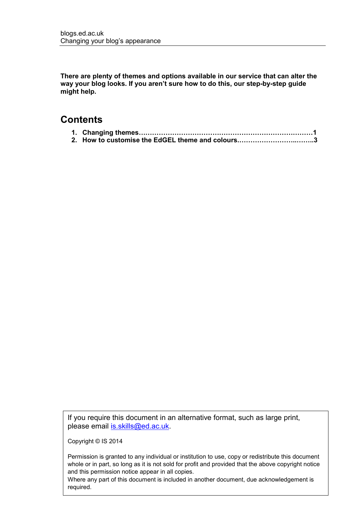**There are plenty of themes and options available in our service that can alter the way your blog looks. If you aren't sure how to do this, our step-by-step guide might help.**

## **Contents**

| 2. How to customise the EdGEL theme and colours3 |
|--------------------------------------------------|

If you require this document in an alternative format, such as large print, please email [is.skills@ed.ac.uk.](mailto:is.skills@ed.ac.uk)

Copyright © IS 2014

Permission is granted to any individual or institution to use, copy or redistribute this document whole or in part, so long as it is not sold for profit and provided that the above copyright notice and this permission notice appear in all copies.

Where any part of this document is included in another document, due acknowledgement is required.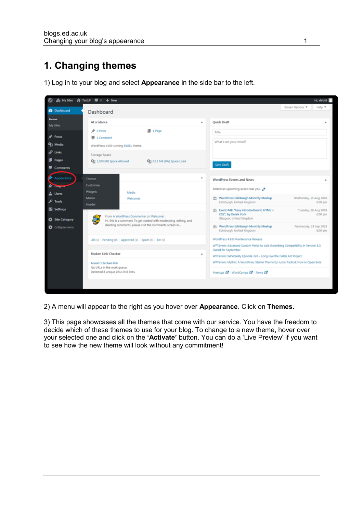## **1. Changing themes**



1) Log in to your blog and select **Appearance** in the side bar to the left.

2) A menu will appear to the right as you hover over **Appearance**. Click on **Themes.**

3) This page showcases all the themes that come with our service. You have the freedom to decide which of these themes to use for your blog. To change to a new theme, hover over your selected one and click on the **'Activate'** button. You can do a 'Live Preview' if you want to see how the new theme will look without any commitment!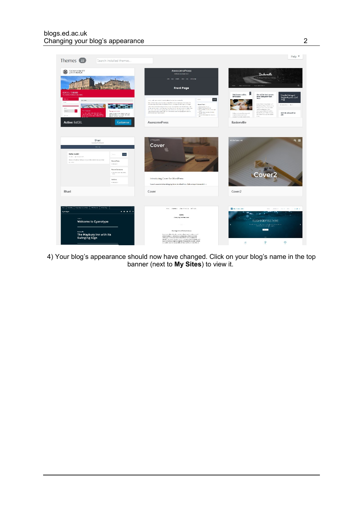

4) Your blog's appearance should now have changed. Click on your blog's name in the top banner (next to **My Sites**) to view it.